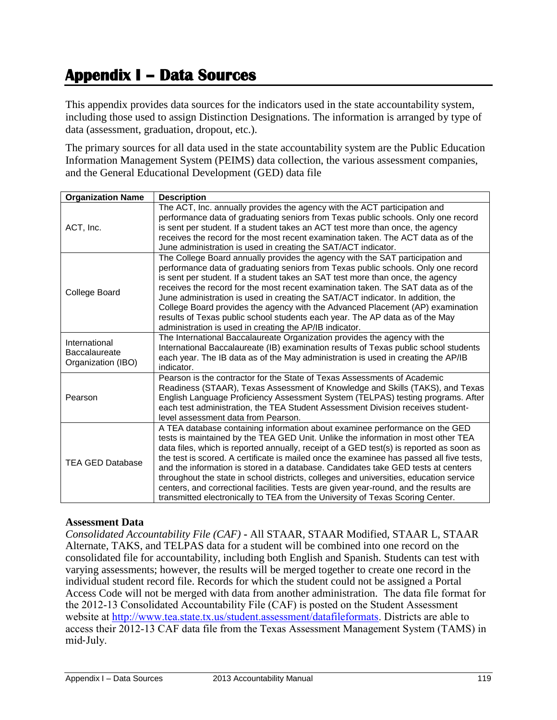# **Appendix I – Data Sources**

This appendix provides data sources for the indicators used in the state accountability system, including those used to assign Distinction Designations. The information is arranged by type of data (assessment, graduation, dropout, etc.).

The primary sources for all data used in the state accountability system are the Public Education Information Management System (PEIMS) data collection, the various assessment companies, and the General Educational Development (GED) data file

| <b>Organization Name</b>                                    | <b>Description</b>                                                                                                                                                                                                                                                                                                                                                                                                                                                                                                                                                                                                                                                                                                |
|-------------------------------------------------------------|-------------------------------------------------------------------------------------------------------------------------------------------------------------------------------------------------------------------------------------------------------------------------------------------------------------------------------------------------------------------------------------------------------------------------------------------------------------------------------------------------------------------------------------------------------------------------------------------------------------------------------------------------------------------------------------------------------------------|
| ACT, Inc.                                                   | The ACT, Inc. annually provides the agency with the ACT participation and<br>performance data of graduating seniors from Texas public schools. Only one record<br>is sent per student. If a student takes an ACT test more than once, the agency<br>receives the record for the most recent examination taken. The ACT data as of the<br>June administration is used in creating the SAT/ACT indicator.                                                                                                                                                                                                                                                                                                           |
| College Board                                               | The College Board annually provides the agency with the SAT participation and<br>performance data of graduating seniors from Texas public schools. Only one record<br>is sent per student. If a student takes an SAT test more than once, the agency<br>receives the record for the most recent examination taken. The SAT data as of the<br>June administration is used in creating the SAT/ACT indicator. In addition, the<br>College Board provides the agency with the Advanced Placement (AP) examination<br>results of Texas public school students each year. The AP data as of the May<br>administration is used in creating the AP/IB indicator.                                                         |
| International<br><b>Baccalaureate</b><br>Organization (IBO) | The International Baccalaureate Organization provides the agency with the<br>International Baccalaureate (IB) examination results of Texas public school students<br>each year. The IB data as of the May administration is used in creating the AP/IB<br>indicator.                                                                                                                                                                                                                                                                                                                                                                                                                                              |
| Pearson                                                     | Pearson is the contractor for the State of Texas Assessments of Academic<br>Readiness (STAAR), Texas Assessment of Knowledge and Skills (TAKS), and Texas<br>English Language Proficiency Assessment System (TELPAS) testing programs. After<br>each test administration, the TEA Student Assessment Division receives student-<br>level assessment data from Pearson.                                                                                                                                                                                                                                                                                                                                            |
| <b>TEA GED Database</b>                                     | A TEA database containing information about examinee performance on the GED<br>tests is maintained by the TEA GED Unit. Unlike the information in most other TEA<br>data files, which is reported annually, receipt of a GED test(s) is reported as soon as<br>the test is scored. A certificate is mailed once the examinee has passed all five tests,<br>and the information is stored in a database. Candidates take GED tests at centers<br>throughout the state in school districts, colleges and universities, education service<br>centers, and correctional facilities. Tests are given year-round, and the results are<br>transmitted electronically to TEA from the University of Texas Scoring Center. |

#### **Assessment Data**

*Consolidated Accountability File (CAF)* **-** All STAAR, STAAR Modified, STAAR L, STAAR Alternate, TAKS, and TELPAS data for a student will be combined into one record on the consolidated file for accountability, including both English and Spanish. Students can test with varying assessments; however, the results will be merged together to create one record in the individual student record file. Records for which the student could not be assigned a Portal Access Code will not be merged with data from another administration. The data file format for the 2012-13 Consolidated Accountability File (CAF) is posted on the Student Assessment website at [http://www.tea.state.tx.us/student.assessment/datafileformats.](http://www.tea.state.tx.us/student.assessment/datafileformats) Districts are able to access their 2012-13 CAF data file from the Texas Assessment Management System (TAMS) in mid‐July.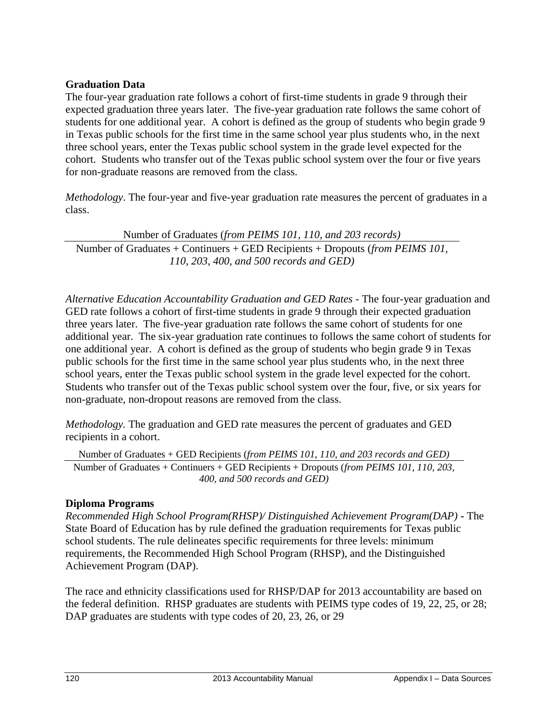# **Graduation Data**

The four-year graduation rate follows a cohort of first-time students in grade 9 through their expected graduation three years later. The five-year graduation rate follows the same cohort of students for one additional year. A cohort is defined as the group of students who begin grade 9 in Texas public schools for the first time in the same school year plus students who, in the next three school years, enter the Texas public school system in the grade level expected for the cohort. Students who transfer out of the Texas public school system over the four or five years for non-graduate reasons are removed from the class.

*Methodology*. The four-year and five-year graduation rate measures the percent of graduates in a class.

Number of Graduates (*from PEIMS 101, 110, and 203 records)* Number of Graduates + Continuers + GED Recipients + Dropouts (*from PEIMS 101, 110, 203, 400, and 500 records and GED)*

*Alternative Education Accountability Graduation and GED Rates -* The four-year graduation and GED rate follows a cohort of first-time students in grade 9 through their expected graduation three years later. The five-year graduation rate follows the same cohort of students for one additional year. The six-year graduation rate continues to follows the same cohort of students for one additional year. A cohort is defined as the group of students who begin grade 9 in Texas public schools for the first time in the same school year plus students who, in the next three school years, enter the Texas public school system in the grade level expected for the cohort. Students who transfer out of the Texas public school system over the four, five, or six years for non-graduate, non-dropout reasons are removed from the class.

*Methodology.* The graduation and GED rate measures the percent of graduates and GED recipients in a cohort.

Number of Graduates + GED Recipients (*from PEIMS 101, 110, and 203 records and GED)* Number of Graduates + Continuers + GED Recipients + Dropouts (*from PEIMS 101, 110, 203, 400, and 500 records and GED)*

#### **Diploma Programs**

*Recommended High School Program(RHSP)/ Distinguished Achievement Program(DAP)* **-** The State Board of Education has by rule defined the graduation requirements for Texas public school students. The rule delineates specific requirements for three levels: minimum requirements, the Recommended High School Program (RHSP), and the Distinguished Achievement Program (DAP).

The race and ethnicity classifications used for RHSP/DAP for 2013 accountability are based on the federal definition. RHSP graduates are students with PEIMS type codes of 19, 22, 25, or 28; DAP graduates are students with type codes of 20, 23, 26, or 29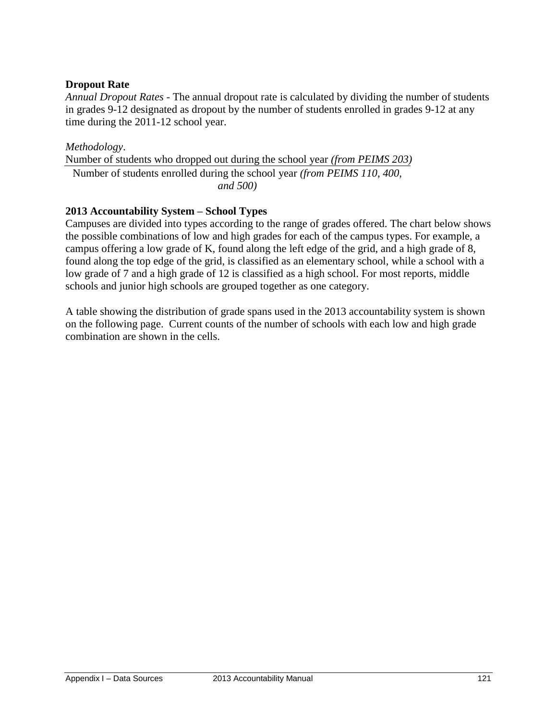# **Dropout Rate**

*Annual Dropout Rates -* The annual dropout rate is calculated by dividing the number of students in grades 9-12 designated as dropout by the number of students enrolled in grades 9-12 at any time during the 2011-12 school year.

*Methodology*. Number of students who dropped out during the school year *(from PEIMS 203)* Number of students enrolled during the school year *(from PEIMS 110, 400, and 500)*

# **2013 Accountability System – School Types**

Campuses are divided into types according to the range of grades offered. The chart below shows the possible combinations of low and high grades for each of the campus types. For example, a campus offering a low grade of K, found along the left edge of the grid, and a high grade of 8, found along the top edge of the grid, is classified as an elementary school, while a school with a low grade of 7 and a high grade of 12 is classified as a high school. For most reports, middle schools and junior high schools are grouped together as one category.

A table showing the distribution of grade spans used in the 2013 accountability system is shown on the following page. Current counts of the number of schools with each low and high grade combination are shown in the cells.